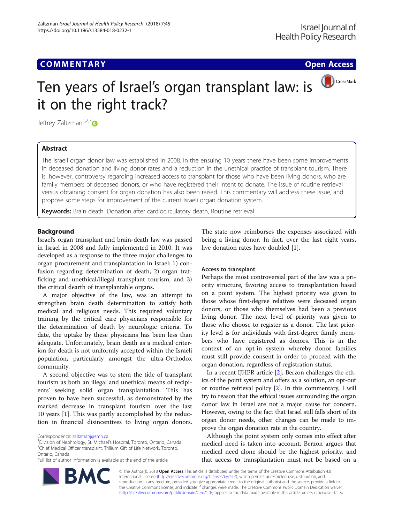# **COMMENTARY COMMENTARY Open Access**



# Ten years of Israel's organ transplant law: is it on the right track?

Jeffrey Zaltzman<sup>1,2,3</sup>

# Abstract

The Israeli organ donor law was established in 2008. In the ensuing 10 years there have been some improvements in deceased donation and living donor rates and a reduction in the unethical practice of transplant tourism. There is, however, controversy regarding increased access to transplant for those who have been living donors, who are family members of deceased donors, or who have registered their intent to donate. The issue of routine retrieval versus obtaining consent for organ donation has also been raised. This commentary will address these issue, and propose some steps for improvement of the current Israeli organ donation system.

Keywords: Brain death, Donation after cardiocirculatory death, Routine retrieval

# **Background**

Israel's organ transplant and brain-death law was passed in Israel in 2008 and fully implemented in 2010. It was developed as a response to the three major challenges to organ procurement and transplantation in Israel: 1) confusion regarding determination of death, 2) organ trafficking and unethical/illegal transplant tourism, and 3) the critical dearth of transplantable organs.

A major objective of the law, was an attempt to strengthen brain death determination to satisfy both medical and religious needs. This required voluntary training by the critical care physicians responsible for the determination of death by neurologic criteria. To date, the uptake by these physicians has been less than adequate. Unfortunately, brain death as a medical criterion for death is not uniformly accepted within the Israeli population, particularly amongst the ultra-Orthodox community.

A second objective was to stem the tide of transplant tourism as both an illegal and unethical means of recipients' seeking solid organ transplantation. This has proven to have been successful, as demonstrated by the marked decrease in transplant tourism over the last 10 years [[1\]](#page-2-0). This was partly accomplished by the reduction in financial disincentives to living organ donors.

<sup>1</sup> Division of Nephrology, St. Michael's Hospital, Toronto, Ontario, Canada <sup>2</sup>Chief Medical Officer transplant, Trillium Gift of Life Network, Toronto, Ontario, Canada

The state now reimburses the expenses associated with being a living donor. In fact, over the last eight years, live donation rates have doubled [[1\]](#page-2-0).

# Access to transplant

Perhaps the most controversial part of the law was a priority structure, favoring access to transplantation based on a point system. The highest priority was given to those whose first-degree relatives were deceased organ donors, or those who themselves had been a previous living donor. The next level of priority was given to those who choose to register as a donor. The last priority level is for individuals with first-degree family members who have registered as donors. This is in the context of an opt-in system whereby donor families must still provide consent in order to proceed with the organ donation, regardless of registration status.

In a recent IJHPR article [\[2](#page-2-0)], Berzon challenges the ethics of the point system and offers as a solution, an opt-out or routine retrieval policy [[2\]](#page-2-0). In this commentary, I will try to reason that the ethical issues surrounding the organ donor law in Israel are not a major cause for concern. However, owing to the fact that Israel still falls short of its organ donor needs, other changes can be made to improve the organ donation rate in the country.

Although the point system only comes into effect after medical need is taken into account, Berzon argues that medical need alone should be the highest priority, and that access to transplantation must not be based on a



© The Author(s). 2018 Open Access This article is distributed under the terms of the Creative Commons Attribution 4.0 International License [\(http://creativecommons.org/licenses/by/4.0/](http://creativecommons.org/licenses/by/4.0/)), which permits unrestricted use, distribution, and reproduction in any medium, provided you give appropriate credit to the original author(s) and the source, provide a link to the Creative Commons license, and indicate if changes were made. The Creative Commons Public Domain Dedication waiver [\(http://creativecommons.org/publicdomain/zero/1.0/](http://creativecommons.org/publicdomain/zero/1.0/)) applies to the data made available in this article, unless otherwise stated.

Correspondence: [zaltzmanj@smh.ca](mailto:zaltzmanj@smh.ca) <sup>1</sup>

Full list of author information is available at the end of the article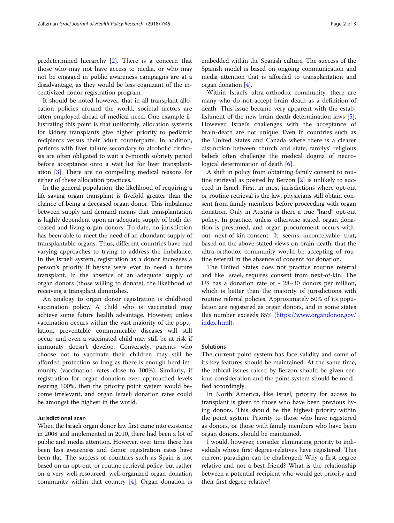predetermined hierarchy [[2\]](#page-2-0). There is a concern that those who may not have access to media, or who may not be engaged in public awareness campaigns are at a disadvantage, as they would be less cognizant of the incentivized donor registration program.

It should be noted however, that in all transplant allocation policies around the world, societal factors are often employed ahead of medical need. One example illustrating this point is that uniformly, allocation systems for kidney transplants give higher priority to pediatric recipients versus their adult counterparts. In addition, patients with liver failure secondary to alcoholic cirrhosis are often obligated to wait a 6-month sobriety period before acceptance onto a wait list for liver transplantation [[3\]](#page-2-0). There are no compelling medical reasons for either of these allocation practices.

In the general population, the likelihood of requiring a life-saving organ transplant is fivefold greater than the chance of being a deceased organ donor. This imbalance between supply and demand means that transplantation is highly dependent upon an adequate supply of both deceased and living organ donors. To date, no jurisdiction has been able to meet the need of an abundant supply of transplantable organs. Thus, different countries have had varying approaches to trying to address the imbalance. In the Israeli system, registration as a donor increases a person's priority if he/she were ever to need a future transplant. In the absence of an adequate supply of organ donors (those willing to donate), the likelihood of receiving a transplant diminishes.

An analogy to organ donor registration is childhood vaccination policy. A child who is vaccinated may achieve some future health advantage. However, unless vaccination occurs within the vast majority of the population, preventable communicable diseases will still occur, and even a vaccinated child may still be at risk if immunity doesn't develop. Conversely, parents who choose not to vaccinate their children may still be afforded protection so long as there is enough herd immunity (vaccination rates close to 100%). Similarly, if registration for organ donation ever approached levels nearing 100%, then the priority point system would become irrelevant, and organ Israeli donation rates could be amongst the highest in the world.

# Jurisdictional scan

When the Israeli organ donor law first came into existence in 2008 and implemented in 2010, there had been a lot of public and media attention. However, over time there has been less awareness and donor registration rates have been flat. The success of countries such as Spain is not based on an opt-out, or routine retrieval policy, but rather on a very well-resourced, well-organized organ donation community within that country [\[4\]](#page-2-0). Organ donation is embedded within the Spanish culture. The success of the Spanish model is based on ongoing communication and media attention that is afforded to transplantation and organ donation [[4](#page-2-0)].

Within Israel's ultra-orthodox community, there are many who do not accept brain death as a definition of death. This issue became very apparent with the establishment of the new brain death determination laws [\[5](#page-2-0)]. However, Israel's challenges with the acceptance of brain-death are not unique. Even in countries such as the United States and Canada where there is a clearer distinction between church and state, familys' religious beliefs often challenge the medical dogma of neuro-logical determination of death [\[6\]](#page-2-0).

A shift in policy from obtaining family consent to routine retrieval as posited by Berzon [\[2](#page-2-0)] is unlikely to succeed in Israel. First, in most jurisdictions where opt-out or routine retrieval is the law, physicians still obtain consent from family members before proceeding with organ donation. Only in Austria is there a true "hard" opt-out policy. In practice, unless otherwise stated, organ donation is presumed, and organ procurement occurs without next-of-kin-consent. It seems inconceivable that, based on the above stated views on brain death, that the ultra-orthodox community would be accepting of routine referral in the absence of consent for donation.

The United States does not practice routine referral and like Israel, requires consent from next-of-kin. The US has a donation rate of  $\sim$  28–30 donors per million, which is better than the majority of jurisdictions with routine referral policies. Approximately 50% of its population are registered as organ donors, and in some states this number exceeds 85% ([https://www.organdonor.gov/](https://www.organdonor.gov/index.html) [index.html](https://www.organdonor.gov/index.html)).

## **Solutions**

The current point system has face validity and some of its key features should be maintained. At the same time, the ethical issues raised by Berzon should be given serious consideration and the point system should be modified accordingly.

In North America, like Israel, priority for access to transplant is given to those who have been previous living donors. This should be the highest priority within the point system. Priority to those who have registered as donors, or those with family members who have been organ donors, should be maintained.

I would, however, consider eliminating priority to individuals whose first degree-relatives have registered. This current paradigm can be challenged. Why a first degree relative and not a best friend? What is the relationship between a potential recipient who would get priority and their first degree relative?